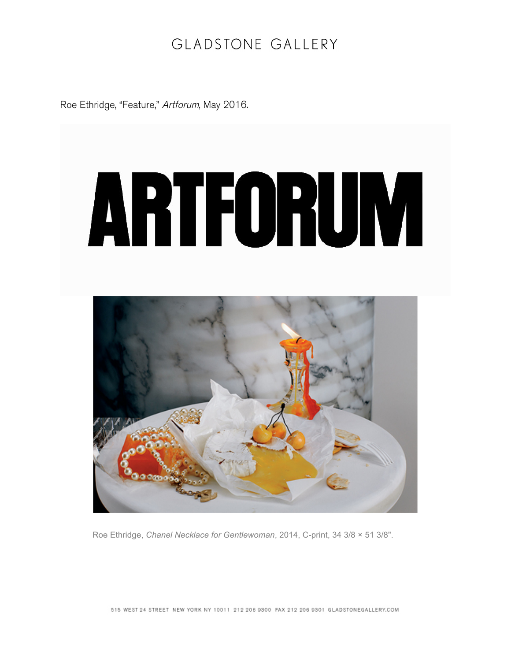## GLADSTONE GALLERY

Roe Ethridge, "Feature," Artforum, May 2016.



Roe Ethridge, *Chanel Necklace for Gentlewoman*, 2014, C-print, 34 3/8 × 51 3/8".